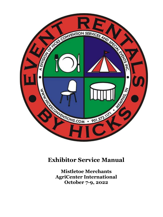

## **Exhibitor Service Manual**

**Mistletoe Merchants AgriCenter International October 7-9, 2022**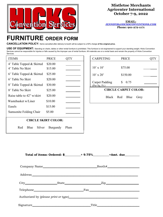

## **Mistletoe Merchants Agricenter International October 7-9, 2022**

**EMAIL: [JENNIFER@HICKSCONVENTIONS.COM](mailto:JENNIFER@HICKSCONVENTIONS.COM) Phone: 901-272-1171**

## **FURNITURE ORDER FORM**

**CANCELLATION POLICY:** Items cancelled after delivery to booth will be subject to a 50% charge **of the original price.**

USE OF EQUIPMENT: Standing on chairs, tables or other rental furniture is prohibited. This furniture is not engineered to support your standing weight. Hicks Convention Services cannot be responsible for injuries or falls caused by the improper use of rental furniture. All materials are on a rental basis and remain the property of Hicks Convention Services.

| <b>ITEMS</b>               | <b>PRICE</b> |      |  |  |
|----------------------------|--------------|------|--|--|
| 4' Table Topped & Skirted  | \$20.00      |      |  |  |
| 4' Table No Skirt          | \$15.00      |      |  |  |
| 6' Table Topped & Skirted  | \$25.00      |      |  |  |
| 6' Table No Skirt          | \$20.00      |      |  |  |
| 8' Table Topped & Skirted  | \$30.00      |      |  |  |
| 8' Table No Skirt          | \$25.00      |      |  |  |
| Raise table to 42" w/skirt | \$20.00      |      |  |  |
| Wastebasket w/Liner        | \$10.00      |      |  |  |
| Easels                     | \$15.00      |      |  |  |
| Samsonite Folding Chair    | \$5.00       |      |  |  |
| <b>CIRCLE SKIRT COLOR:</b> |              |      |  |  |
| Red<br>Blue<br>Silver      | Burgundy     | Plum |  |  |

| <b>PRICE</b>                |  |  |  |  |
|-----------------------------|--|--|--|--|
|                             |  |  |  |  |
| \$75.00                     |  |  |  |  |
| \$150.00                    |  |  |  |  |
| \$<br>0.75                  |  |  |  |  |
| <b>CIRCLE CARPET COLOR:</b> |  |  |  |  |
| Black Red Blue<br>Grey      |  |  |  |  |
|                             |  |  |  |  |

|  | City State Zip                                                                                                                                                                                                                                       |
|--|------------------------------------------------------------------------------------------------------------------------------------------------------------------------------------------------------------------------------------------------------|
|  |                                                                                                                                                                                                                                                      |
|  | Authorized by <i>(please print or type)</i> Authorized by <i>Authorized by <i>Authorized by Authorized by Authorized</i> by <i>Authorized by Authorized by Authorized by Authorized by Authorized by Authorized by Authorized by Authorized </i></i> |
|  |                                                                                                                                                                                                                                                      |

 **Total of items: Ordered: \$\_\_\_\_\_\_\_\_\_\_\_+ 9.75%\_\_\_\_\_\_\_\_\_\_\_=Amt. due\_\_\_\_\_\_\_\_\_\_**